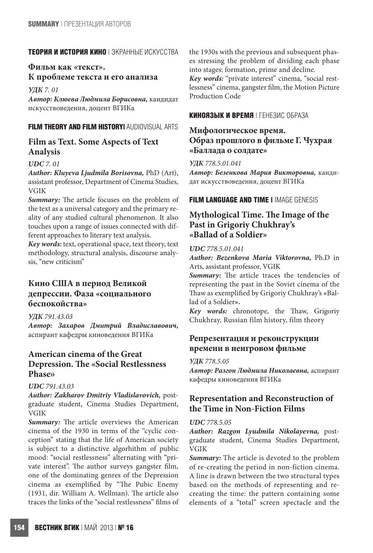### **ТЕОРИЯ И ИСТОРИЯ КИНО** | ЭКРАННЫЕ ИСКУССТВА

# **Фильм как «текст». К проблеме текста и его анализа**

*УДК 7. 01*

*Автор: Клюева Людмила Борисовна,* кандидат искусствоведения, доцент ВГИКа

### **FILM THEORY AND FILM HISTORY|** AUDIOVISUAL ARTS

# **Film as Text. Some Aspects of Text Analysis**

### *UDC 7. 01*

*Author: Kluyeva Ljudmila Borisovna,* PhD (Art), assistant professor, Department of Cinema Studies, VGIK

*Summary:* The article focuses on the problem of the text as a universal category and the primary reality of any studied cultural phenomenon. It also touches upon a range of issues connected with different approaches to literary text analysis.

*Key words:* text, operational space, text theory, text methodology, structural analysis, discourse analysis, "new criticism"

# **Кино США в период Великой депрессии. Фаза «социального беспокойства»**

*УДК 791.43.03 Автор: Захаров Дмитрий Владиславович,*  аспирант кафедры киноведения ВГИКа

# **American cinema of the Great Depression. The «Social Restlessness Phase»**

### *UDC 791.43.03*

*Author: Zakharov Dmitriy Vladislavovich,* postgraduate student, Cinema Studies Department, VGIK

*Summary:* The article overviews the American cinema of the 1930 in terms of the "cyclic conception" stating that the life of American society is subject to a distinctive algorhithm of public mood: "social restlessness" alternating with "private interest". The author surveys gangster film, one of the dominating genres of the Depression cinema as exemplified by "The Pubic Enemy (1931, dir. William A. Wellman). The article also traces the links of the "social restlessness" films of the 1930s with the previous and subsequent phases stressing the problem of dividing each phase into stages: formation, prime and decline.

*Key words:* "private interest" cinema, "social restlessness" cinema, gangster film, the Motion Picture Production Code

### **КИНОЯЗЫК И ВРЕМЯ** | ГЕНЕЗИС ОБРАЗА

# **Мифологическое время. Образ прошлого в фильме Г. Чухрая «Баллада о солдате»**

*УДК 778.5.01.041*

*Автор: Безенкова Мария Викторовна,* кандидат искусствоведения, доцент ВГИКа

### **FILM LANGUAGE AND TIME |** IMAGE GENESIS

# **Mythological Time. The Image of the Past in Grigoriy Chukhray's «Ballad of a Soldier»**

#### *UDC 778.5.01.041*

*Author: Bezenkova Maria Viktorovna,* Ph.D in Arts, assistant professor, VGIK

*Summary:* The article traces the tendencies of representing the past in the Soviet cinema of the Thaw as exemplified by Grigoriy Chukhray's **«**Ballad of a Soldier**».**

*Key words:* chronotope, the Thaw, Grigoriy Chukhray, Russian film history, film theory

# **Репрезентация и реконструкции времени в неигровом фильме**

#### *УДК 778.5.05*

*Автор: Разгон Людмила Николаевна,* аспирант кафедры киноведения ВГИКа

# **Representation and Reconstruction of the Time in Non-Fiction Films**

### *UDC 778.5.05*

*Author: Razgon Lyudmila Nikolayevna,* postgraduate student, Cinema Studies Department, VGIK

*Summary:* The article is devoted to the problem of re-creating the period in non-fiction cinema. A line is drawn between the two structural types based on the methods of representing and recreating the time: the pattern containing some elements of a "total" screen spectacle and the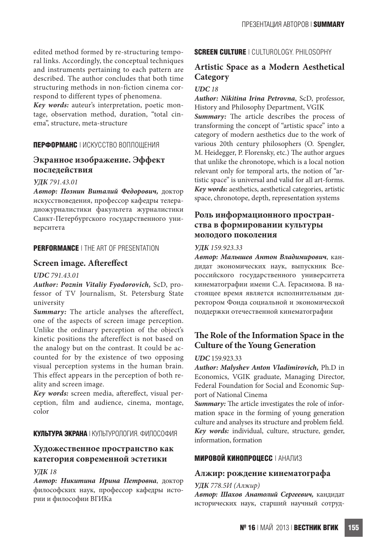edited method formed by re-structuring temporal links. Accordingly, the conceptual techniques and instruments pertaining to each pattern are described. The author concludes that both time structuring methods in non-fiction cinema correspond to different types of phenomena.

*Key words:* auteur's interpretation, poetic montage, observation method, duration, "total cinema", structure, meta-structure

### **ПЕРФОРМАНС** | ИСКУССТВО ВОПЛОЩЕНИЯ

# **Экранное изображение. Эффект последействия**

#### *УДК 791.43.01*

*Автор: Познин Виталий Федорович,* доктор искусствоведения, профессор кафедры телерадиожурналистики факультета журналистики Санкт-Петербургского государственного университета

### **PERFORMANCE** | THE ART OF PRESENTATION

### **Screen image. Aftereffect**

#### *UDC 791.43.01*

*Author: Poznin Vitaliy Fyodorovich,* ScD, professor of TV Journalism, St. Petersburg State university

*Summary:* The article analyses the aftereffect, one of the aspects of screen image perception. Unlike the ordinary perception of the object's kinetic positions the aftereffect is not based on the analogy but on the contrast. It could be accounted for by the existence of two opposing visual perception systems in the human brain. This effect appears in the perception of both reality and screen image.

*Key words:* screen media, aftereffect, visual perception, film and audience, cinema, montage, color

### **КУЛЬТУРА ЭКРАНА** | КУЛЬТУРОЛОГИЯ. ФИЛОСОФИЯ

# **Художественное пространство как категория современной эстетики**

# *УДК 18*

*Автор: Никитина Ирина Петровна*, доктор философских наук, профессор кафедры истории и философии ВГИКа

# **SCREEN CULTURE** | CULTUROLOGY. PHILOSOPHY

# **Artistic Space as a Modern Aesthetical Category**

# *UDC 18*

*Author: Nikitina Irina Petrovna*, ScD, professor, History and Philosophy Department, VGIK *Summary:* The article describes the process of transforming the concept of "artistic space" into a category of modern aesthetics due to the work of various 20th century philosophers (O. Spengler, M. Heidegger, P. Florensky, etc.) The author argues that unlike the chronotope, which is a local notion relevant only for temporal arts, the notion of "artistic space" is universal and valid for all art-forms. *Key words:* aesthetics, aesthetical categories, artistic space, chronotope, depth, representation systems

# **Роль информационного пространства в формировании культуры молодого поколения**

#### *УДК 159.923.33*

*Автор: Малышев Антон Владимирович*, кандидат экономических наук, выпускник Всероссийского государственного университета кинематографии имени С.А. Герасимова. В настоящее время является исполнительным директором Фонда социальной и экономической поддержки отечественной кинематографии

# **The Role of the Information Space in the Culture of the Young Generation**

#### *UDC* 159.923.33

*Author: Malyshev Anton Vladimirovich,* Ph.D in Economics, VGIK graduate, Managing Director, Federal Foundation for Social and Economic Support of National Cinema

*Summary:* The article investigates the role of information space in the forming of young generation culture and analyses its structure and problem field. *Key words:* individual, culture, structure, gender, information, formation

### **МИРОВОЙ КИНОПРОЦЕСС** | АНАЛИЗ

### **Алжир: рождение кинематографа**

#### *УДК 778.5И (Алжир)*

*Автор: Шахов Анатолий Сергеевич,* кандидат исторических наук, старший научный сотруд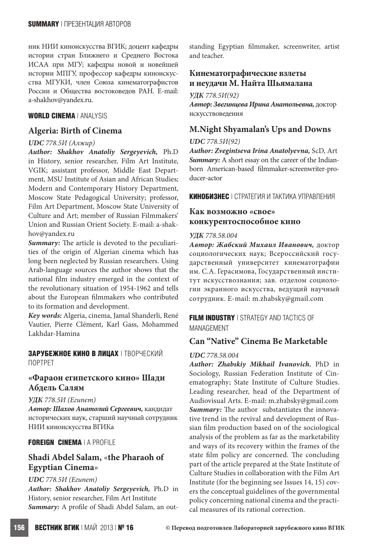ник НИИ киноискусства ВГИК; доцент кафедры истории стран Ближнего и Среднего Востока ИСАА при МГУ; кафедры новой и новейшей истории МПГУ, профессор кафедры киноискусства МГУКИ, член Союза кинематографистов России и Общества востоковедов РАН. E-mail: a-shakhov@yandex.ru.

#### **WORLD CINEMA** | ANALYSIS

### **Algeria: Birth of Cinema**

#### *UDC 778.5И (Алжир)*

*Author: Shakhov Anatoliy Sergeyevich,* Ph.D in History, senior researcher, Film Art Institute, VGIK; assistant professor, Middle East Department, MSU Institute of Asian and African Studies; Modern and Contemporary History Department, Moscow State Pedagogical University; professor, Film Art Department, Moscow State University of Culture and Art; member of Russian Filmmakers' Union and Russian Orient Society. E-mail: a-shakhov@yandex.ru

*Summary:* The article is devoted to the peculiarities of the origin of Algerian cinema which has long been neglected by Russian researchers. Using Arab-language sources the author shows that the national film industry emerged in the context of the revolutionary situation of 1954-1962 and tells about the European filmmakers who contributed to its formation and development.

*Key words:* Algeria, cinema, Jamal Shanderli, René Vautier, Pierre Clément, Karl Gass, Mohammed Lakhdar-Hamina

#### **ЗАРУБЕЖНОЕ КИНО В ЛИЦАХ** | ТВОРЧЕСКИЙ ПОРТРЕТ

### **«Фараон египетского кино» Шади Абдель Cалям**

#### *УДК 778.5И (Египет)*

*Автор: Шахов Анатолий Сергеевич,* кандидат исторических наук, старший научный сотрудник НИИ киноискусства ВГИКа

#### **FOREIGN CINEMA** | A PROFILE

# **Shadi Abdel Salam,** «**the Pharaoh of Egyptian Cinema**»

#### *UDC 778.5И (Египет)*

*Author: Shakhov Anatoliy Sergeyevich,* Ph.D in History, senior researcher, Film Art Institute *Summary:* A profile of Shadi Abdel Salam, an outstanding Egyptian filmmaker, screenwriter, artist and teacher.

### **Кинематографические взлеты и неудачи М. Найта Шьямалана**

*УДК 778.5И(92)*

*Автор: Звегинцева Ирина Анатольевна,* доктор искусствоведения

### **M.Night Shyamalan's Ups and Downs**

#### *UDC 778.5И(92)*

*Author: Zvegintseva Irina Anatolyevna,* ScD, Art *Summary:* A short essay on the career of the Indianborn American-based filmmaker-screenwriter-producer-actor

**КИНОБИЗНЕС** | СТРАТЕГИЯ И ТАКТИКА УПРАВЛЕНИЯ

# **Как возможно «свое» конкурентоспособное кино**

#### *УДК 778.58.004*

*Автор: Жабский Михаил Иванович,* доктор социологических наук; Всероссийский государственный университет кинематографии им. С.А. Герасимова, Государственный институт искусствознания; зав. отделом социологии экранного искусства, ведущий научный сотрудник. E-mail: m.zhabsky@gmail.com

**FILM INDUSTRY** | STRATEGY AND TACTICS OF MANAGEMENT

# **Can "Native" Cinema Be Marketable**

#### *UDC 778.58.004*

*Author: Zhabskiy Mikhail Ivanovich*, PhD in Sociology, Russian Federation Institute of Cinematography; State Institute of Culture Studies. Leading researcher, head of the Department of Audiovisual Arts. E-mail: m.zhabsky@gmail.com *Summary:* The author substantiates the innovative trend in the revival and development of Russian film production based on of the sociological analysis of the problem as far as the marketability and ways of its recovery within the frames of the state film policy are concerned. The concluding part of the article prepared at the State Institute of Culture Studies in collaboration with the Film Art Institute (for the beginning see Issues 14, 15) covers the conceptual guidelines of the governmental policy concerning national cinema and the practical measures of its rational correction.